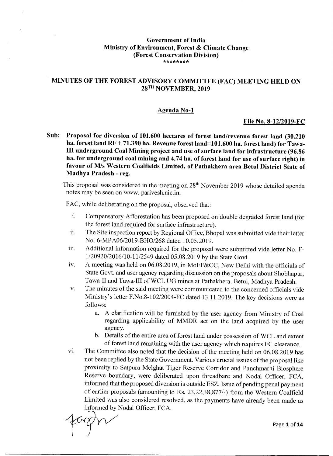#### **Government of India Ministry of Environment, Forest & Climate Change (Forest Conservation Division) \*\*\*\*\*\*\*\***

## **MINUTES OF THE FOREST ADVISORY COMMITTEE (FAC) MEETING HELD ON 28<sup>TH</sup> NOVEMBER, 2019**

#### **Agenda No-1**

#### **File No. 8-12/2019-FC**

**Sub: Proposal for diversion of 101.600 hectares of forest land/revenue forest land (30.210 ha. forest land RF + 71.390 ha. Revenue forest land=101.600 ha. forest land) for Tawa-III underground Coal Mining project and use of surface land for infrastructure (96.86 ha. for underground coal mining and 4.74 ha. of forest land for use of surface right) in favour of M/s Western Coalfields Limited, of Pathakhera area Betul District State of Madhya Pradesh - reg.** 

This proposal was considered in the meeting on  $28<sup>th</sup>$  November 2019 whose detailed agenda notes may be seen on www. parivesh.nic.in.

FAC, while deliberating on the proposal, observed that:

- i. Compensatory Afforestation has been proposed on double degraded forest land (for the forest land required for surface infrastructure).
- ii. The Site inspection report by Regional Office, Bhopal was submitted vide their letter No. 6-MPA06/2019-BH0/268 dated 10.05.2019.
- iii. Additional information required for the proposal were submitted vide letter No. F-1/20920/2016/10-11/2549 dated 05.08.2019 by the State Govt.
- iv. A meeting was held on 06.08.2019, in MoEF&CC, New Delhi with the officials of State Govt. and user agency regarding discussion on the proposals about Shobhapur, Tawa-II and Tawa-III of WCL UG mines at Pathakhera, Betul, Madhya Pradesh.
- v. The minutes of the said meeting were communicated to the concerned officials vide Ministry's letter F.No.8-102/2004-FC dated 13.11.2019. The key decisions were as follows:
	- a. A clarification will be furnished by the user agency from Ministry of Coal regarding applicability of MMDR act on the land acquired by the user agency.
	- b. Details of the entire area of forest land under possession of WCL and extent of forest land remaining with the user agency which requires FC clearance.
- vi. The Committee also noted that the decision of the meeting held on 06.08.2019 has not been replied by the State Government. Various crucial issues of the proposal like proximity to Satpura Melghat Tiger Reserve Corridor and Panchmarhi Biosphere Reserve boundary, were deliberated upon threadbare and Nodal Officer, FCA, informed that the proposed diversion is outside ESZ. Issue of pending penal payment of earlier proposals (amounting to Rs. 23,22,38,877/-) from the Western Coalfield Limited was also considered resolved, as the payments have already been made as informed by Nodal Officer, FCA.

Page 1 of **14**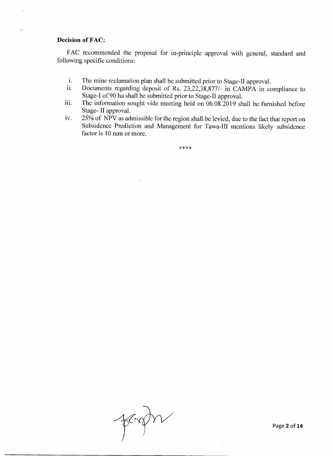#### Decision of FAC:

FAC recommended the proposal for in-principle approval with general, standard and following specific conditions:

- i. The mine reclamation plan shall be submitted prior to Stage-II approval.<br>ii. Documents regarding deposit of Rs. 23.22.38.877/- in CAMPA in co
- Documents regarding deposit of Rs. 23,22,38,877/- in CAMPA in compliance to Stage-I of 90 ha shall be submitted prior to Stage-II approval.
- iii. The information sought vide meeting held on 06.08.2019 shall be furnished before Stage- II approval.
- iv. 25% of NPV as admissible for the region shall be levied, due to the fact that report on Subsidence Prediction and Management for Tawa-III mentions likely subsidence factor is 10 mm or more.

\*\*\*\*

ferstr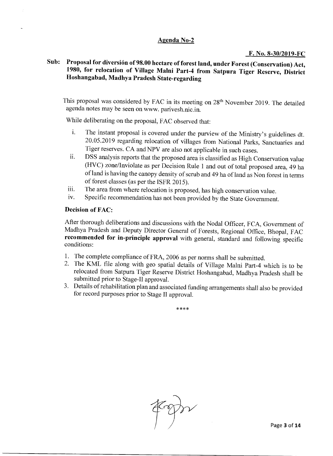## **Agenda No-2**

#### **F. No. 8-30/2019-FC**

## **Sub: Proposal for diversion of 98.00 hectare of forest land, under Forest (Conservation) Act, 1980, for relocation of Village Malni Part-4 from Satpura Tiger Reserve, District Hoshangabad, Madhya Pradesh State-regarding**

This proposal was considered by FAC in its meeting on 28<sup>th</sup> November 2019. The detailed agenda notes may be seen on www. parivesh.nic.in.

While deliberating on the proposal, FAC observed that:

- i. The instant proposal is covered under the purview of the Ministry's guidelines dt. 20.05.2019 regarding relocation of villages from National Parks, Sanctuaries and Tiger reserves. CA and NPV are also not applicable in such cases.
- ii. DSS analysis reports that the proposed area is classified as High Conservation value (HVC) zone/Inviolate as per Decision Rule 1 and out of total proposed area, 49 ha of land is having the canopy density of scrub and 49 ha of land as Non forest in terms of forest classes (as per the ISFR 2015).
- iii. The area from where relocation is proposed, has high conservation value.
- iv. Specific recommendation has not been provided by the State Government.

#### **Decision of FAC:**

After thorough deliberations and discussions with the Nodal Officer, FCA, Government of Madhya Pradesh and Deputy Director General of Forests, Regional Office, Bhopal, FAC **recommended for in-principle approval** with general, standard and following specific conditions:

- 1. The complete compliance of FRA, 2006 as per norms shall be submitted.
- 2. The KML file along with geo spatial details of Village Malni Part-4 which is to be relocated from Satpura Tiger Reserve District Hoshangabad, Madhya Pradesh shall be submitted prior to Stage-II approval.
- 3. Details of rehabilitation plan and associated funding arrangements shall also be provided for record purposes prior to Stage **II** approval.

\*\*\*\*

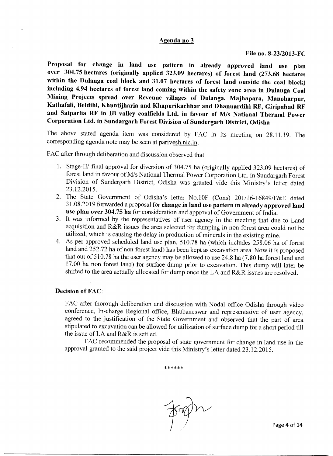#### **Agenda no 3**

**Proposal for change in land use pattern in already approved land use plan over 304.75 hectares (originally applied 323.09 hectares) of forest land (273.68 hectares within the Dulanga coal block and 31.07 hectares of forest land outside the coal block) including 4.94 hectares of forest land coming within the safety zone area in Dulanga Coal Mining Projects spread over Revenue villages of Dulanga, Majhapara, Manoharpur, Kathafali, Beldihi, Khuntijharia and Khapurikachhar and Dhanuardihi RF, Giripahad RF and Satparlia RF in IB valley coalfields Ltd. in favour of M/s National Thermal Power Corporation Ltd. in Sundargarh Forest Division of Sundergarh District, Odisha** 

The above stated agenda item was considered by FAC in its meeting on 28.11.19. The corresponding agenda note may be seen at parivesh.nic.in.

FAC after through deliberation and discussion observed that

- 1. Stage-II/ final approval for diversion of 304.75 ha (originally applied 323.09 hectares) of forest land in favour of M/s National Thermal Power Corporation Ltd. in Sundargarh Forest Division of Sundergarh District, Odisha was granted vide this Ministry's letter dated 23.12.2015.
- 2. The State Government of Odisha's letter No.10F (Cons) 201/16-16849/F&E dated 31.08.2019 forwarded a proposal for **change in land use pattern in already approved land use plan over 304.75 ha** for consideration and approval of Government of India.
- 3. It was informed by the representatives of user agency in the meeting that due to Land acquisition and R&R issues the area selected for dumping in non forest area could not be utilized, which is causing the delay in production of minerals in the existing mine.
- 4. As per approved scheduled land use plan, 510.78 ha (which includes 258.06 ha of forest land and 252.72 ha of non forest land) has been kept as excavation area. Now it is proposed that out of 510.78 ha the user agency may be allowed to use 24.8 ha (7.80 ha forest land and 17.00 ha non forest land) for surface dump prior to excavation. This dump will later be shifted to the area actually allocated for dump once the LA and R&R issues are resolved.

#### **Decision of FAC:**

FAC after thorough deliberation and discussion with Nodal office Odisha through video conference, In-charge Regional office, Bhubaneswar and representative of user agency, agreed to the justification of the State Government and observed that the part of area stipulated to excavation can be allowed for utilization of surface dump for a short period till the issue of LA and R&R is settled.

FAC recommended the proposal of state government for change in land use in the approval granted to the said project vide this Ministry's letter dated 23.12.2015.

\*\*\*\*\*\*

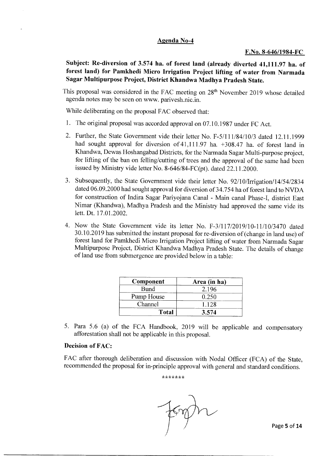#### **Agenda No-4**

#### **F.No. 8-646/1984-FC**

**Subject: Re-diversion of 3.574 ha. of forest land (already diverted 41,111.97 ha. of forest land) for Pamkhedi Micro Irrigation Project lifting of water from Narmada Sagar Multipurpose Project, District Khandwa Madhya Pradesh State.** 

This proposal was considered in the FAC meeting on 28<sup>th</sup> November 2019 whose detailed agenda notes may be seen on www. parivesh.nic.in.

While deliberating on the proposal FAC observed that:

- 1. The original proposal was accorded approval on 07.10.1987 under FC Act.
- 2. Further, the State Government vide their letter No. F-5/111/84/10/3 dated 12.11.1999 had sought approval for diversion of 41,111.97 ha.  $+308.47$  ha. of forest land in Khandwa, Dewas Hoshangabad Districts, for the Narmada Sagar Multi-purpose project, for lifting of the ban on felling/cutting of trees and the approval of the same had been issued by Ministry vide letter No. 8-646/84-FC(pt). dated 22.11.2000.
- 3. Subsequently, the State Government vide their letter No. 92/10/Irrigation/14/54/2834 dated 06.09.2000 had sought approval for diversion of 34.754 ha of forest land to NVDA for construction of Indira Sagar Pariyojana Canal - Main canal Phase-I, district East Nimar (Khandwa), Madhya Pradesh and the Ministry had approved the same vide its lett. Dt. 17.01.2002.
- 4. Now the State Government vide its letter No. F-3/117/2019/10-11/10/3470 dated 30.10.2019 has submitted the instant proposal for re-diversion of (change in land use) of forest land for Pamkhedi Micro Irrigation Project lifting of water from Narmada Sagar Multipurpose Project, District Khandwa Madhya Pradesh State. The details of change of land use from submergence are provided below in a table:

| Component    | Area (in ha) |  |
|--------------|--------------|--|
| Bund         | 2.196        |  |
| Pump House   | 0.250        |  |
| Channel      | 1.128        |  |
| <b>Total</b> | 3.574        |  |

5. Para 5.6 (a) of the FCA Handbook, 2019 will be applicable and compensatory afforestation shall not be applicable in this proposal.

#### **Decision of FAC:**

FAC after thorough deliberation and discussion with Nodal Officer (FCA) of the State, recommended the proposal for in-principle approval with general and standard conditions.

\*\*\*\*\*\*\*

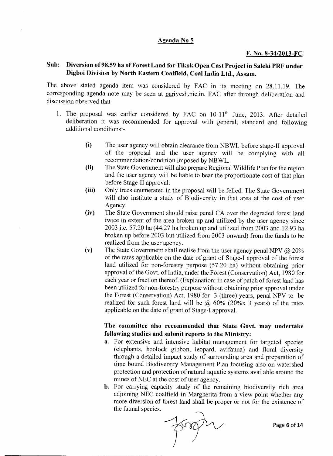#### **Agenda No 5**

#### **F. No. 8-34/2013-FC**

## **Sub: Diversion of 98.59 ha of Forest Land for Tikok Open Cast Project in Saleki PRF under Digboi Division by North Eastern Coalfield, Coal India Ltd., Assam.**

The above stated agenda item was considered by FAC in its meeting on 28.11.19. The corresponding agenda note may be seen at parivesh.nic.in. FAC after through deliberation and discussion observed that

- 1. The proposal was earlier considered by FAC on  $10-11<sup>th</sup>$  June, 2013. After detailed deliberation it was recommended for approval with general, standard and following additional conditions:-
	- (i) The user agency will obtain clearance from NBWL before stage-II approval of the proposal and the user agency will be complying with all recommendation/condition imposed by NBWL.
	- (ii) The State Government will also prepare Regional Wildlife Plan for the region and the user agency will be liable to bear the proportionate cost of that plan before Stage-II approval.
	- (iii) Only trees enumerated in the proposal will be felled. The State Government will also institute a study of Biodiversity in that area at the cost of user Agency.
	- (iv) The State Government should raise penal CA over the degraded forest land twice in extent of the area broken up and utilized by the user agency since 2003 i.e. 57.20 ha (44.27 ha broken up and utilized from 2003 and 12.93 ha broken up before 2003 but utilized from 2003 onward) from the funds to be realized from the user agency.
	- (v) The State Government shall realise from the user agency penal NPV  $\omega$  20% of the rates applicable on the date of grant of Stage-I approval of the forest land utilized for non-forestry purpose (57.20 ha) without obtaining prior approval of the Govt. of India, under the Forest (Conservation) Act, 1980 for each year or fraction thereof. (Explanation: in case of patch of forest land has been utilized for non-forestry purpose without obtaining prior approval under the Forest (Conservation) Act, 1980 for 3 (three) years, penal NPV to be realized for such forest land will be  $\omega$  60% (20% x 3 years) of the rates applicable on the date of grant of Stage-I approval.

## **The committee also recommended that State Govt. may undertake following studies and submit reports to the Ministry:**

- a. For extensive and intensive habitat management for targeted species (elephants, hoolock gibbon, leopard, avifauna) and floral diversity through a detailed impact study of surrounding area and preparation of time bound Biodiversity Management Plan focusing also on watershed protection and protection of natural aquatic systems available around the mines of NEC at the cost of user agency.
- b. For carrying capacity study of the remaining biodiversity rich area adjoining NEC coalfield in Margherita from a view point whether any more diversion of forest land shall be proper or not for the existence of the faunal species.



Page 6 of 14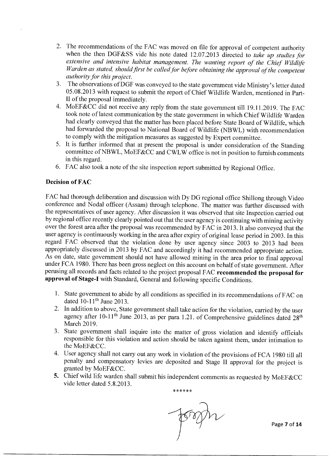- 2. The recommendations of the FAC was moved on file for approval of competent authority when the then DGF&SS vide his note dated 12.07.2013 directed to *take up studies for extensive and intensive habitat management. The wanting report of the Chief Wildlife Warden as stated, should first be called for before obtaining the approval of the competent authority for this project.*
- 3. The observations of DGF was conveyed to the state government vide Ministry's letter dated 05.08.2013 with request to submit the report of Chief Wildlife Warden, mentioned in Part-II of the proposal immediately.
- 4. MoEF&CC did not receive any reply from the state government till 19.11.2019. The FAC took note of latest communication by the state government in which Chief Wildlife Warden had clearly conveyed that the matter has been placed before State Board of Wildlife, which had forwarded the proposal to National Board of Wildlife (NBWL) with recommendation to comply with the mitigation measures as suggested by Expert committee.
- 5. It is further informed that at present the proposal is under consideration of the Standing committee of NBWL, MoEF&CC and CWLW office is not in position to furnish comments in this regard.
- 6. FAC also took a note of the site inspection report submitted by Regional Office.

## **Decision of FAC**

FAC had thorough deliberation and discussion with Dy DG regional office Shillong through Video conference and Nodal officer (Assam) through telephone. The matter was further discussed with the representatives of user agency. After discussion it was observed that site Inspection carried out by regional office recently clearly pointed out that the user agency is continuing with mining activity over the forest area after the proposal was recommended by FAC in 2013. It also conveyed that the user agency is continuously working in the area after expiry of original lease period in 2003. In this regard FAC observed that the violation done by user agency since 2003 to 2013 had been appropriately discussed in 2013 by FAC and accordingly it had recommended appropriate action. As on date, state government should not have allowed mining in the area prior to final approval under FCA 1980. There has been gross neglect on this account on behalf of state government. After perusing all records and facts related to the project proposal FAC **recommended the proposal for approval of Stage-I** with Standard, General and following specific Conditions.

- 1. State government to abide by all conditions as specified in its recommendations of FAC on dated  $10-11$ <sup>th</sup> June 2013.
- 2. In addition to above, State government shall take action for the violation, carried by the user agency after 10-11<sup>th</sup> June 2013, as per para 1.21. of Comprehensive guidelines dated  $28<sup>th</sup>$ March 2019.
- 3. State government shall inquire into the matter of gross violation and identify officials responsible for this violation and action should be taken against them, under intimation to the MoEF&CC.
- 4. User agency shall not carry out any work in violation of the provisions of FCA 1980 till all penalty and compensatory levies are deposited and Stage II approval for the project is granted by MoEF&CC.
- 5. Chief wild life warden shall submit his independent comments as requested by MoEF&CC vide letter dated 5.8.2013.

\*\*\*\*\*\*

Page 7 of **14**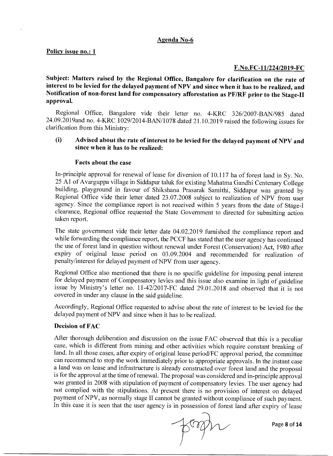#### **Agenda No-6**

#### **Policy issue no.: 1**

#### **F.No.FC-11/224/2019-FC**

**Subject: Matters raised by the Regional Office, Bangalore for clarification on the rate of interest to be levied for the delayed payment of NPV and since when it has to be realized, and Notification of non-forest land for compensatory afforestation as PF/RF prior to the Stage-II approval.** 

Regional Office, Bangalore vide their letter no. 4-KRC 326/2007-BAN/985 dated 24.09.2019and no. 4-KRC 1029/2014-BAN/1078 dated 21.10.2019 raised the following issues for clarification from this Ministry:

## (i) **Advised about the rate of interest to be levied for the delayed payment of NPV and since when it has to be realized:**

#### **Facts about the case**

In-principle approval for renewal of lease for diversion of 10.117 ha of forest land in Sy. No. 25 Al of Avarguppa village in Siddapur taluk for existing Mahatma Gandhi Centenary College building, playground in favour of Shikshana Prasarak Samithi, Siddapur was granted by Regional Office vide their letter dated 23.07.2008 subject to realization of NPV from user agency. Since the compliance report is not received within 5 years from the date of Stage-I clearance, Regional office requested the State Government to directed for submitting action taken report.

The state government vide their letter date 04.02.2019 furnished the compliance report and while forwarding the compliance report, the PCCF has stated that the user agency has continued the use of forest land in question without renewal under Forest (Conservation) Act, 1980 after expiry of original lease period on 03.09.2004 and recommended for realization of penalty/interest for delayed payment of NPV from user agency.

Regional Office also mentioned that there is no specific guideline for imposing penal interest for delayed payment of Compensatory levies and this issue also examine in light of guideline issue by Ministry's letter no. 11-42/2017-FC dated 29.01.2018 and observed that it is not covered in under any clause in the said guideline.

Accordingly, Regional Office requested to advise about the rate of interest to be levied for the delayed payment of NPV and since when it has to be realized.

#### **Decision of FAC**

After thorough deliberation and discussion on the issue FAC observed that this is a peculiar case, which is different from mining and other activities which require constant breaking of land. In all those cases, after expiry of original lease period/FC approval period, the committee can recommend to stop the work immediately prior to appropriate approvals. In the instant case a land was on lease and infrastructure is already constructed over forest land and the proposal is for the approval at the time of renewal. The proposal was considered and in-principle approval was granted in 2008 with stipulation of payment of compensatory levies. The user agency had not complied with the stipulations. At present there is no provision of interest on delayed payment of NPV, as normally stage II cannot be granted without compliance of such payment. In this case it is seen that the user agency is in possession of forest land after expiry of lease

Page 8 of 14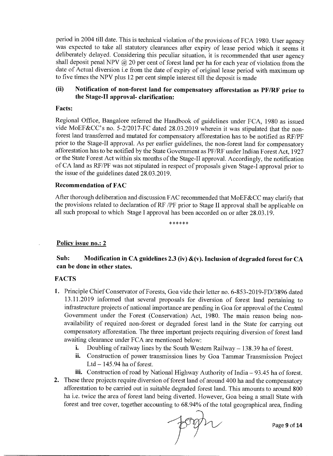period in 2004 till date. This is technical violation of the provisions of FCA 1980. User agency was expected to take all statutory clearances after expiry of lease period which it seems it deliberately delayed. Considering this peculiar situation, it is recommended that user agency shall deposit penal NPV @ 20 per cent of forest land per ha for each year of violation from the date of Actual diversion i.e from the date of expiry of original lease period with maximum up to five times the NPV plus 12 per cent simple interest till the deposit is made

## **(ii) Notification of non-forest land for compensatory afforestation as PF/RF prior to the Stage-II approval- clarification:**

#### **Facts:**

Regional Office, Bangalore referred the Handbook of guidelines under FCA, 1980 as issued vide MoEF&CC's no. 5-2/2017-FC dated 28.03.2019 wherein it was stipulated that the nonforest land transferred and mutated for compensatory afforestation has to be notified as RF/PF prior to the Stage-II approval. As per earlier guidelines, the non-forest land for compensatory afforestation has to be notified by the State Government as PF/RF under Indian Forest Act, 1927 or the State Forest Act within six months of the Stage-II approval. Accordingly, the notification of CA land as RF/PF was not stipulated in respect of proposals given Stage-I approval prior to the issue of the guidelines dated 28.03.2019.

#### **Recommendation of FAC**

After thorough deliberation and discussion FAC recommended that MoEF&CC may clarify that the provisions related to declaration of RF /PF prior to Stage II approval shall be applicable on all such proposal to which Stage I approval has been accorded on or after 28.03.19.

\*\*\*\*\*\*

#### **Policy issue no.: 2**

## **Sub: Modification in CA guidelines 2.3 (iv) &(v). Inclusion of degraded forest for CA can be done in other states.**

#### **FACTS**

- **1.** Principle Chief Conservator of Forests, Goa vide their letter no. 6-853-2019-FD/3896 dated 13.11.2019 informed that several proposals for diversion of forest land pertaining to infrastructure projects of national importance are pending in Goa for approval of the Central Government under the Forest (Conservation) Act, 1980. The main reason being nonavailability of required non-forest or degraded forest land in the State for carrying out compensatory afforestation. The three important projects requiring diversion of forest land awaiting clearance under FCA are mentioned below:
	- i. Doubling of railway lines by the South Western Railway 138.39 ha of forest.
	- ii. Construction of power transmission lines by Goa Tammar Transmission Project Ltd  $-145.94$  ha of forest.
	- iii. Construction of road by National Highway Authority of India 93.45 ha of forest.
- **2.** These three projects require diversion of forest land of around 400 ha and the compensatory afforestation to be carried out in suitable degraded forest land. This amounts to around 800 ha i.e. twice the area of forest land being diverted. However, Goa being a small State with forest and tree cover, together accounting to 68.94% of the total geographical area, finding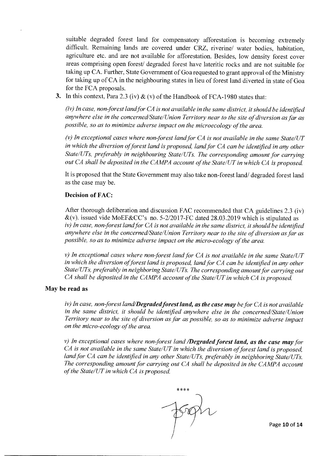suitable degraded forest land for compensatory afforestation is becoming extremely difficult. Remaining lands are covered under CRZ, riverine/ water bodies, habitation, agriculture etc. and are not available for afforestation. Besides, low density forest cover areas comprising open forest/ degraded forest have lateritic rocks and are not suitable for taking up CA. Further, State Government of Goa requested to grant approval of the Ministry for taking up of CA in the neighbouring states in lieu of forest land diverted in state of Goa for the FCA proposals.

**3.** In this context, Para 2.3 (iv)  $\&$  (v) of the Handbook of FCA-1980 states that:

*(iv) In case, non forest land for CA is not available in the same district, it should be identified anywhere else in the concerned/State/Union Territory near to the site of diversion as far as possible, so as to minimize adverse impact on the microecology of the area.* 

*(v) In exceptional cases where non forest land for CA is not available in the same State/UT in which the diversion of forest land is proposed, land for CA can be identified in any other State/UTs, preferably in neighbouring State/UTs. The corresponding amount for carrying out CA shall be deposited in the CAMPA account of the State/UT in which CA is proposed.* 

It is proposed that the State Government may also take non-forest land/ degraded forest land as the case may be.

#### **Decision of FAC:**

After thorough deliberation and discussion FAC recommended that CA guidelines 2.3 (iv)  $\&$ (v). issued vide MoEF $&$ CC's no. 5-2/2017-FC dated 28.03.2019 which is stipulated as *iv) In case, non forest land for CA is not available in the same district, it should be identified anywhere else in the concerned/State/Union Territory near to the site of diversion as far as possible, so as to minimize adverse impact on the micro-ecology of the area.* 

*v) In exceptional cases where non forest land for CA is not available in the same State/UT in which the diversion of forest land is proposed, land for CA can be identified in any other State/UTs, preferably in neighboring State/UTs. The corresponding amount for carrying out CA shall be deposited in the CAMPA account of the State/UT in which CA is proposed.* 

#### **May be read as**

*iv) In case, non forest land/Degraded forest land, as the case may be for CA is not available in the same district, it should be identified anywhere else in the concerned/State/Union Territory near to the site of diversion as far as possible, so as to minimize adverse impact on the micro-ecology of the area.* 

*v) In exceptional cases where non forest land /Degraded forest land, as the case may for CA is not available in the same State/UT in which the diversion of forest land is proposed, land for CA can be identified in any other State/UTs, preferably in neighboring State/UTs.*  The corresponding amount for carrying out CA shall be deposited in the CAMPA account *of the State/UT in which CA is proposed.* 

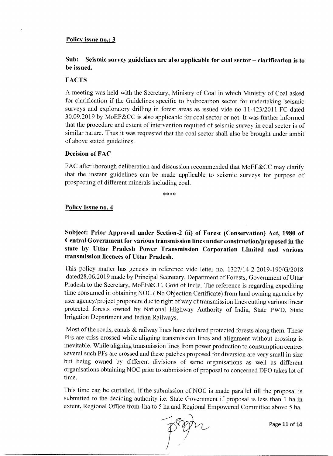#### **Policy issue no.: 3**

## **Sub: Seismic survey guidelines are also applicable for coal sector — clarification is to be issued.**

#### **FACTS**

A meeting was held with the Secretary, Ministry of Coal in which Ministry of Coal asked for clarification if the Guidelines specific to hydrocarbon sector for undertaking 'seismic surveys and exploratory drilling in forest areas as issued vide no 11-423/2011-FC dated 30.09.2019 by MoEF&CC is also applicable for coal sector or not. It was further informed that the procedure and extent of intervention required of seismic survey in coal sector is of similar nature. Thus it was requested that the coal sector shall also be brought under ambit of above stated guidelines.

#### **Decision of FAC**

FAC after thorough deliberation and discussion recommended that MoEF&CC may clarify that the instant guidelines can be made applicable to seismic surveys for purpose of prospecting of different minerals including coal.

\*\*\*\*

#### **Policy Issue no. 4**

## **Subject: Prior Approval under Section-2 (ii) of Forest (Conservation) Act, 1980 of Central Government for various transmission lines under construction/proposed in the state by Uttar Pradesh Power Transmission Corporation Limited and various transmission licences of Uttar Pradesh.**

This policy matter has genesis in reference vide letter no. 1327/14-2-2019-190/G/2018 dated28.06.2019 made by Principal Secretary, Department of Forests, Government of Uttar Pradesh to the Secretary, MoEF&CC, Govt of India. The reference is regarding expediting time consumed in obtaining NOC ( No Objection Certificate) from land owning agencies by user agency/project proponent due to right of way of transmission lines cutting various linear protected forests owned by National Highway Authority of India, State PWD, State Irrigation Department and Indian Railways.

Most of the roads, canals  $\&$  railway lines have declared protected forests along them. These PFs are criss-crossed while aligning transmission lines and alignment without crossing is inevitable. While aligning transmission lines from power production to consumption centres several such PFs are crossed and these patches proposed for diversion are very small in size but being owned by different divisions of same organisations as well as different organisations obtaining NOC prior to submission of proposal to concerned DFO takes lot of time.

This time can be curtailed, if the submission of NOC is made parallel till the proposal is submitted to the deciding authority i.e. State Government if proposal is less than 1 ha in extent, Regional Office from 1ha to 5 ha and Regional Empowered Committee above 5 ha.



Page 11 of 14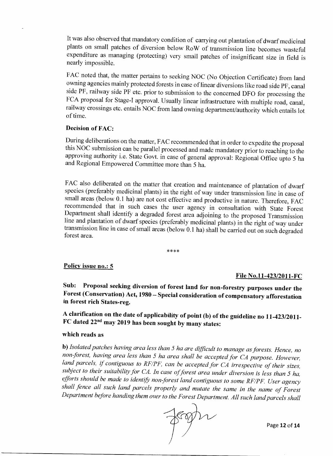It was also observed that mandatory condition of carrying out plantation of dwarf medicinal plants on small patches of diversion below RoW of transmission line becomes wasteful expenditure as managing (protecting) very small patches of insignificant size in field is nearly impossible.

FAC noted that, the matter pertains to seeking NOC (No Objection Certificate) from land owning agencies mainly protected forests in case of linear diversions like road side PF, canal side PF, railway side PF etc. prior to submission to the concerned DFO for processing the FCA proposal for Stage-I approval. Usually linear infrastructure with multiple road, canal, railway crossings etc. entails NOC from land owning department/authority which entails lot of time.

#### **Decision of FAC:**

During deliberations on the matter, FAC recommended that in order to expedite the proposal this NOC submission can be parallel processed and made mandatory prior to reaching to the approving authority i.e. State Govt. in case of general approval: Regional Office upto 5 ha and Regional Empowered Committee more than 5 ha.

FAC also deliberated on the matter that creation and maintenance of plantation of dwarf species (preferably medicinal plants) in the right of way under transmission line in case of small areas (below 0.1 ha) are not cost effective and productive in nature. Therefore, FAC recommended that in such cases the user agency in consultation with State Forest Department shall identify a degraded forest area adjoining to the proposed Transmission line and plantation of dwarf species (preferably medicinal plants) in the right of way under transmission line in case of small areas (below 0.1 ha) shall be carried out on such degraded forest area.

 $****$ 

#### **Policy issue no.: 5**

#### **File No.11-423/2011-FC**

**Sub: Proposal seeking diversion of forest land for non-forestry purposes under the Forest (Conservation) Act, 1980 — Special consideration of compensatory afforestation in forest rich States-reg.** 

**A clarification on the date of applicability of point (b) of the guideline no 11-423/2011- FC dated 22"d may 2019 has been sought by many states:** 

## **which reads as**

**b)** *Isolated patches having area less than 5 ha are difficult to manage as forests. Hence, no*  non-forest, having area less than 5 ha area shall be accepted for CA purpose. However, land parcels, if contiguous to RF/PF, can be accepted for CA irrespective of their sizes, *subject to their suitability for CA. In case of forest area under diversion is less than 5 ha, efforts should be made to identify non forest land contiguous to some RF/PF. User agency shall fence all such land parcels properly and mutate the same in the name of Forest Department before handing them over to the Forest Department. All such land parcels shall* 



Page 12 of 14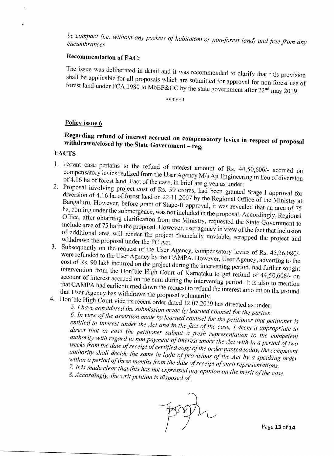*be compact (i.e. without any pockets of habitation or non forest land) and free from any encumbrances* 

## Recommendation of FAC:

The issue was deliberated in detail and it was recommended to clarify that this provision shall be applicable for all proposals which are submitted for approval for non forest use of forest land under FCA 1980 to MoEF&CC by the state government after 22nd may 2019.

\*\*\*\*\*\*

## Policy issue 6

# Regarding refund of interest accrued on compensatory levies in respect of proposal withdrawn/closed by the State Government — reg.

## **FACTS**

- 1. Extant case pertains to the refund of interest amount of Rs. 44,50,606/- accrued on compensatory levies realized from the User Agency M/s Aji Engineering in lieu of diversion of 4.16 ha of forest land. Fact of the case, in brief are given as under:
- 2. Proposal involving project cost of Rs. 59 crores, had been granted Stage-I approval for diversion of 4.16 ha of forest land on 22.11.2007 by the Regional Office of the Ministry at Bangaluru. However, before grant of Stage-II approval, it was revealed that an area of 75 ha, coming under the submergence, was not included in the proposal. Accordingly, Regional Office, after obtaining clarification from the Ministry, requested the State Government to include area of 75 ha in the proposal. However, user agency in view of the fact that inclusion of additional area will render the project financially unviable, scrapped the project and withdrawn the proposal under the FC Act.
- 3. Subsequently on the request of the User Agency, compensatory levies of Rs. 45,26,080/ were refunded to the User Agency by the CAMPA. However, User Agency, adverting to the cost of Rs. 90 lakh incurred on the project during the intervening period, had further sought intervention from the Hon'ble High Court of Karnataka to get refund of 44,50,606/- on account of interest accrued on the sum during the intervening period. It is also to mention that CAMPA had earlier turned down the request to refund the interest amount on the ground that User Agency has withdrawn the proposal voluntarily.
- 

4. Hon'ble High Court vide its recent order dated 12.07.2019 has directed as under: *5. I have considered the submission made by learned counsel for the parties. 6. In view of the assertion made by learned counsel for the petitioner that petitioner is entitled to interest under the Act and in the fact of the case, I deem it appropriate to*  direct that in case the petitioner submit a fresh representation to the competent *authority with regard to non payment of interest under the Act with in a period of two weeks from the date of receipt of certified copy of the order passed today, the competent authority shall decide the same in light of provisions of the Act by a speaking order within a period of three months from the date of receipt of such representations. 7. It is made clear that this has not expressed any opinion on the merit of the case.* 

*8. Accordingly, the writ petition is disposed of*